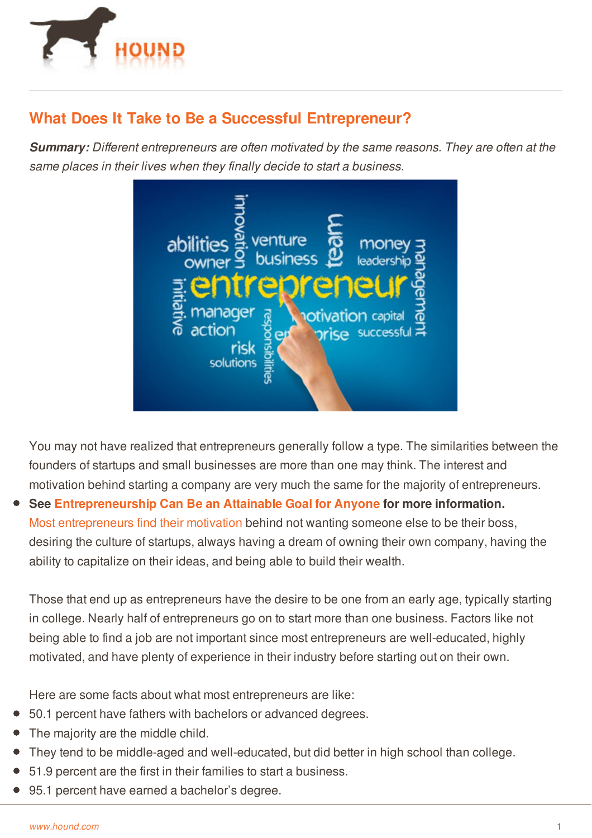

## **What Does It Take to Be a Successful Entrepreneur?**

*Summary: Different entrepreneurs are often motivated by the same reasons. They are often at the same places in their lives when they finally decide to start a business.*



You may not have realized that entrepreneurs generally follow a type. The similarities between the founders of startups and small businesses are more than one may think. The interest and motivation behind starting a company are very much the same for the majority of entrepreneurs.

**See [Entrepreneurship](http://www.hound.com/article/900045887/Entrepreneurship-Can-Be-an-Attainable-Goal-for-Anyone/) Can Be an Attainable Goal for Anyone for more information.** Most [entrepreneurs](http://www.hound.com/article/900044894/Take-Your-Career-in-a-New-Direction/) find their motivation behind not wanting someone else to be their boss, desiring the culture of startups, always having a dream of owning their own company, having the ability to capitalize on their ideas, and being able to build their wealth.

Those that end up as entrepreneurs have the desire to be one from an early age, typically starting in college. Nearly half of entrepreneurs go on to start more than one business. Factors like not being able to find a job are not important since most entrepreneurs are well-educated, highly motivated, and have plenty of experience in their industry before starting out on their own.

Here are some facts about what most entrepreneurs are like:

- 50.1 percent have fathers with bachelors or advanced degrees.
- The [majority](http://www.hound.com/) are the middle child.
- They tend to be middle-aged and well-educated, but did better in high school than college.
- 51.9 percent are the first in their families to start a business.
- 95.1 percent have earned a bachelor's degree.